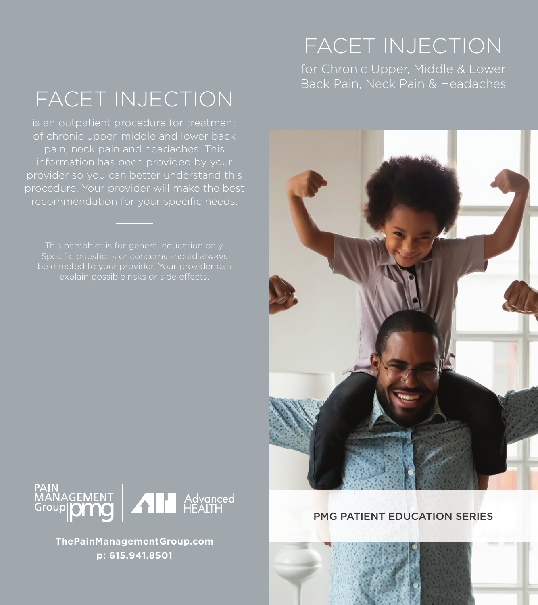# FACET INJECTION

is an outpatient procedure for treatment of chronic upper, middle and lower back information has been provided by your

Specific questions or concerns should always explain possible risks or side effects.

### FACET INJECTION

for Chronic Upper, Middle & Lower Back Pain, Neck Pain & Headaches





**ThePainManagementGroup.com p: 615.941.8501**

### PMG PATIENT EDUCATION SERIES